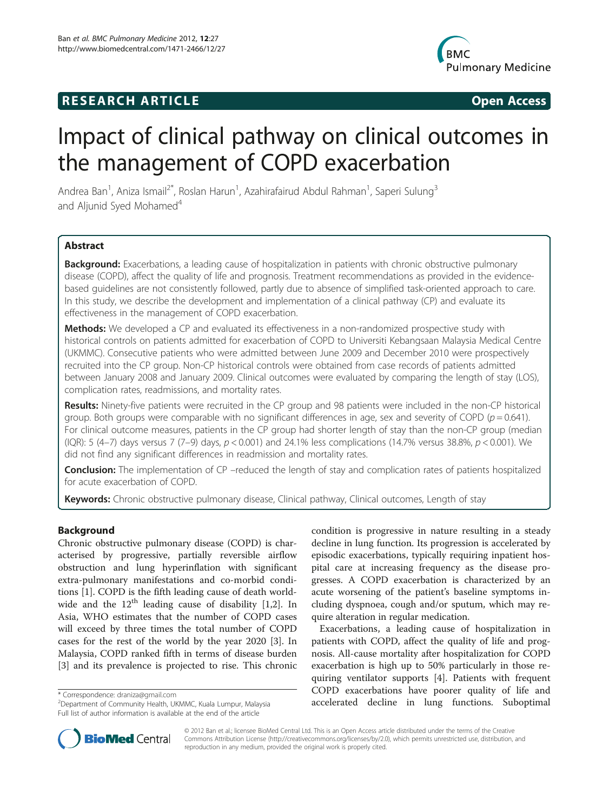# **RESEARCH ARTICLE Example 2018 12:00 Open Access**



# Impact of clinical pathway on clinical outcomes in the management of COPD exacerbation

Andrea Ban<sup>1</sup>, Aniza Ismail<sup>2\*</sup>, Roslan Harun<sup>1</sup>, Azahirafairud Abdul Rahman<sup>1</sup>, Saperi Sulung<sup>3</sup> and Aljunid Syed Mohamed<sup>4</sup>

# Abstract

Background: Exacerbations, a leading cause of hospitalization in patients with chronic obstructive pulmonary disease (COPD), affect the quality of life and prognosis. Treatment recommendations as provided in the evidencebased guidelines are not consistently followed, partly due to absence of simplified task-oriented approach to care. In this study, we describe the development and implementation of a clinical pathway (CP) and evaluate its effectiveness in the management of COPD exacerbation.

Methods: We developed a CP and evaluated its effectiveness in a non-randomized prospective study with historical controls on patients admitted for exacerbation of COPD to Universiti Kebangsaan Malaysia Medical Centre (UKMMC). Consecutive patients who were admitted between June 2009 and December 2010 were prospectively recruited into the CP group. Non-CP historical controls were obtained from case records of patients admitted between January 2008 and January 2009. Clinical outcomes were evaluated by comparing the length of stay (LOS), complication rates, readmissions, and mortality rates.

Results: Ninety-five patients were recruited in the CP group and 98 patients were included in the non-CP historical group. Both groups were comparable with no significant differences in age, sex and severity of COPD ( $p = 0.641$ ). For clinical outcome measures, patients in the CP group had shorter length of stay than the non-CP group (median (IQR): 5 (4-7) days versus 7 (7-9) days,  $p < 0.001$ ) and 24.1% less complications (14.7% versus 38.8%,  $p < 0.001$ ). We did not find any significant differences in readmission and mortality rates.

**Conclusion:** The implementation of CP –reduced the length of stay and complication rates of patients hospitalized for acute exacerbation of COPD.

Keywords: Chronic obstructive pulmonary disease, Clinical pathway, Clinical outcomes, Length of stay

# Background

Chronic obstructive pulmonary disease (COPD) is characterised by progressive, partially reversible airflow obstruction and lung hyperinflation with significant extra-pulmonary manifestations and co-morbid conditions [[1\]](#page-6-0). COPD is the fifth leading cause of death worldwide and the  $12<sup>th</sup>$  $12<sup>th</sup>$  $12<sup>th</sup>$  leading cause of disability [\[1](#page-6-0),2]. In Asia, WHO estimates that the number of COPD cases will exceed by three times the total number of COPD cases for the rest of the world by the year 2020 [[3\]](#page-7-0). In Malaysia, COPD ranked fifth in terms of disease burden [[3\]](#page-7-0) and its prevalence is projected to rise. This chronic



Exacerbations, a leading cause of hospitalization in patients with COPD, affect the quality of life and prognosis. All-cause mortality after hospitalization for COPD exacerbation is high up to 50% particularly in those requiring ventilator supports [[4\]](#page-7-0). Patients with frequent COPD exacerbations have poorer quality of life and \* Correspondence: [draniza@gmail.com](mailto:draniza@gmail.com)<br>
<sup>2</sup>Department of Community Health, UKMMC, Kuala Lumpur, Malaysia **2000 and 2000 and 2000 and 2000 and 2000 and 20** 



© 2012 Ban et al.; licensee BioMed Central Ltd. This is an Open Access article distributed under the terms of the Creative Commons Attribution License [\(http://creativecommons.org/licenses/by/2.0\)](http://creativecommons.org/licenses/by/2.0), which permits unrestricted use, distribution, and reproduction in any medium, provided the original work is properly cited.

<sup>&</sup>lt;sup>2</sup>Department of Community Health, UKMMC, Kuala Lumpur, Malaysia Full list of author information is available at the end of the article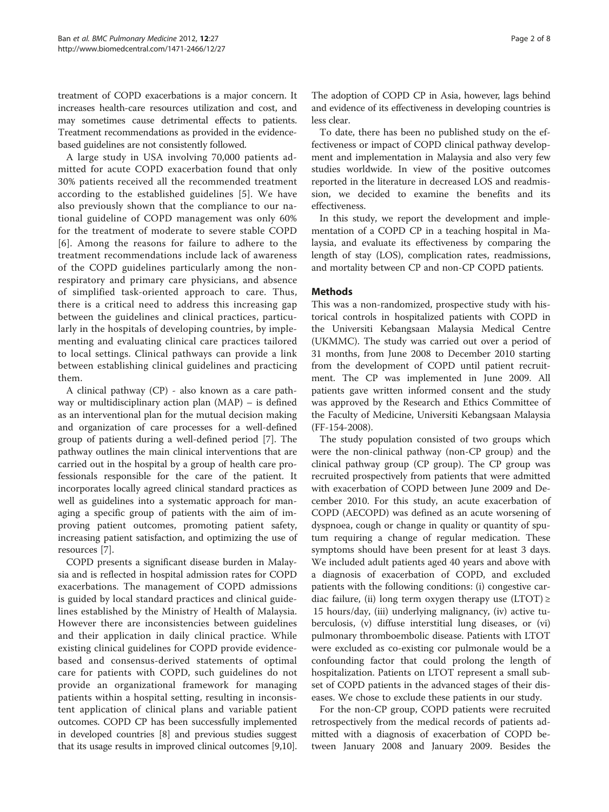treatment of COPD exacerbations is a major concern. It increases health-care resources utilization and cost, and may sometimes cause detrimental effects to patients. Treatment recommendations as provided in the evidencebased guidelines are not consistently followed.

A large study in USA involving 70,000 patients admitted for acute COPD exacerbation found that only 30% patients received all the recommended treatment according to the established guidelines [[5\]](#page-7-0). We have also previously shown that the compliance to our national guideline of COPD management was only 60% for the treatment of moderate to severe stable COPD [[6](#page-7-0)]. Among the reasons for failure to adhere to the treatment recommendations include lack of awareness of the COPD guidelines particularly among the nonrespiratory and primary care physicians, and absence of simplified task-oriented approach to care. Thus, there is a critical need to address this increasing gap between the guidelines and clinical practices, particularly in the hospitals of developing countries, by implementing and evaluating clinical care practices tailored to local settings. Clinical pathways can provide a link between establishing clinical guidelines and practicing them.

A clinical pathway (CP) - also known as a care pathway or multidisciplinary action plan (MAP) – is defined as an interventional plan for the mutual decision making and organization of care processes for a well-defined group of patients during a well-defined period [\[7\]](#page-7-0). The pathway outlines the main clinical interventions that are carried out in the hospital by a group of health care professionals responsible for the care of the patient. It incorporates locally agreed clinical standard practices as well as guidelines into a systematic approach for managing a specific group of patients with the aim of improving patient outcomes, promoting patient safety, increasing patient satisfaction, and optimizing the use of resources [\[7](#page-7-0)].

COPD presents a significant disease burden in Malaysia and is reflected in hospital admission rates for COPD exacerbations. The management of COPD admissions is guided by local standard practices and clinical guidelines established by the Ministry of Health of Malaysia. However there are inconsistencies between guidelines and their application in daily clinical practice. While existing clinical guidelines for COPD provide evidencebased and consensus-derived statements of optimal care for patients with COPD, such guidelines do not provide an organizational framework for managing patients within a hospital setting, resulting in inconsistent application of clinical plans and variable patient outcomes. COPD CP has been successfully implemented in developed countries [[8\]](#page-7-0) and previous studies suggest that its usage results in improved clinical outcomes [[9,10](#page-7-0)].

The adoption of COPD CP in Asia, however, lags behind and evidence of its effectiveness in developing countries is less clear.

To date, there has been no published study on the effectiveness or impact of COPD clinical pathway development and implementation in Malaysia and also very few studies worldwide. In view of the positive outcomes reported in the literature in decreased LOS and readmission, we decided to examine the benefits and its effectiveness.

In this study, we report the development and implementation of a COPD CP in a teaching hospital in Malaysia, and evaluate its effectiveness by comparing the length of stay (LOS), complication rates, readmissions, and mortality between CP and non-CP COPD patients.

#### **Methods**

This was a non-randomized, prospective study with historical controls in hospitalized patients with COPD in the Universiti Kebangsaan Malaysia Medical Centre (UKMMC). The study was carried out over a period of 31 months, from June 2008 to December 2010 starting from the development of COPD until patient recruitment. The CP was implemented in June 2009. All patients gave written informed consent and the study was approved by the Research and Ethics Committee of the Faculty of Medicine, Universiti Kebangsaan Malaysia (FF-154-2008).

The study population consisted of two groups which were the non-clinical pathway (non-CP group) and the clinical pathway group (CP group). The CP group was recruited prospectively from patients that were admitted with exacerbation of COPD between June 2009 and December 2010. For this study, an acute exacerbation of COPD (AECOPD) was defined as an acute worsening of dyspnoea, cough or change in quality or quantity of sputum requiring a change of regular medication. These symptoms should have been present for at least 3 days. We included adult patients aged 40 years and above with a diagnosis of exacerbation of COPD, and excluded patients with the following conditions: (i) congestive cardiac failure, (ii) long term oxygen therapy use  $(LTOT) \geq$ 15 hours/day, (iii) underlying malignancy, (iv) active tuberculosis, (v) diffuse interstitial lung diseases, or (vi) pulmonary thromboembolic disease. Patients with LTOT were excluded as co-existing cor pulmonale would be a confounding factor that could prolong the length of hospitalization. Patients on LTOT represent a small subset of COPD patients in the advanced stages of their diseases. We chose to exclude these patients in our study.

For the non-CP group, COPD patients were recruited retrospectively from the medical records of patients admitted with a diagnosis of exacerbation of COPD between January 2008 and January 2009. Besides the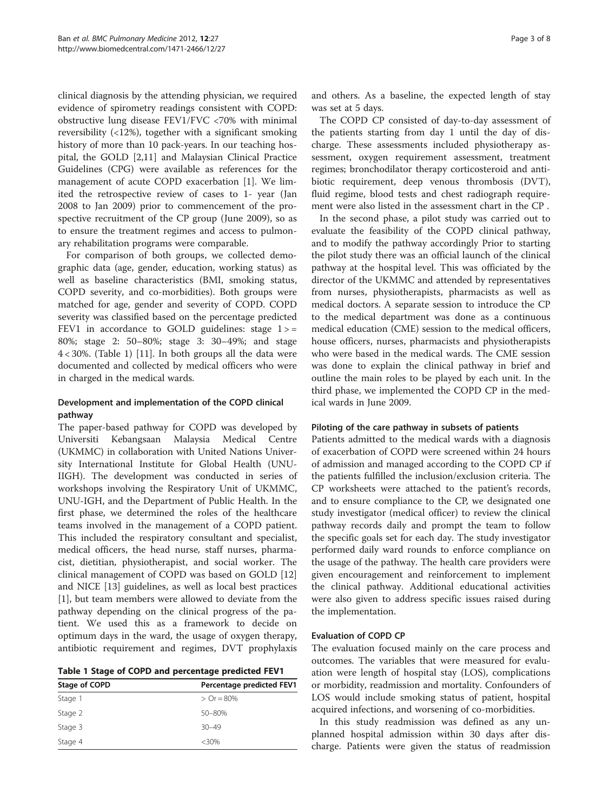clinical diagnosis by the attending physician, we required evidence of spirometry readings consistent with COPD: obstructive lung disease FEV1/FVC <70% with minimal reversibility (<12%), together with a significant smoking history of more than 10 pack-years. In our teaching hospital, the GOLD [\[2](#page-6-0)[,11](#page-7-0)] and Malaysian Clinical Practice Guidelines (CPG) were available as references for the management of acute COPD exacerbation [\[1\]](#page-6-0). We limited the retrospective review of cases to 1- year (Jan 2008 to Jan 2009) prior to commencement of the prospective recruitment of the CP group (June 2009), so as to ensure the treatment regimes and access to pulmonary rehabilitation programs were comparable.

For comparison of both groups, we collected demographic data (age, gender, education, working status) as well as baseline characteristics (BMI, smoking status, COPD severity, and co-morbidities). Both groups were matched for age, gender and severity of COPD. COPD severity was classified based on the percentage predicted FEV1 in accordance to GOLD guidelines: stage  $1$  > = 80%; stage 2: 50–80%; stage 3: 30–49%; and stage  $4 < 30\%$ . (Table 1) [\[11](#page-7-0)]. In both groups all the data were documented and collected by medical officers who were in charged in the medical wards.

# Development and implementation of the COPD clinical pathway

The paper-based pathway for COPD was developed by Universiti Kebangsaan Malaysia Medical Centre (UKMMC) in collaboration with United Nations University International Institute for Global Health (UNU-IIGH). The development was conducted in series of workshops involving the Respiratory Unit of UKMMC, UNU-IGH, and the Department of Public Health. In the first phase, we determined the roles of the healthcare teams involved in the management of a COPD patient. This included the respiratory consultant and specialist, medical officers, the head nurse, staff nurses, pharmacist, dietitian, physiotherapist, and social worker. The clinical management of COPD was based on GOLD [[12](#page-7-0)] and NICE [[13\]](#page-7-0) guidelines, as well as local best practices [[1\]](#page-6-0), but team members were allowed to deviate from the pathway depending on the clinical progress of the patient. We used this as a framework to decide on optimum days in the ward, the usage of oxygen therapy, antibiotic requirement and regimes, DVT prophylaxis

Table 1 Stage of COPD and percentage predicted FEV1

| Stage of COPD | Percentage predicted FEV1 |
|---------------|---------------------------|
| Stage 1       | $\triangleright$ Or = 80% |
| Stage 2       | 50-80%                    |
| Stage 3       | $30 - 49$                 |
| Stage 4       | $<30\%$                   |

and others. As a baseline, the expected length of stay was set at 5 days.

The COPD CP consisted of day-to-day assessment of the patients starting from day 1 until the day of discharge. These assessments included physiotherapy assessment, oxygen requirement assessment, treatment regimes; bronchodilator therapy corticosteroid and antibiotic requirement, deep venous thrombosis (DVT), fluid regime, blood tests and chest radiograph requirement were also listed in the assessment chart in the CP .

In the second phase, a pilot study was carried out to evaluate the feasibility of the COPD clinical pathway, and to modify the pathway accordingly Prior to starting the pilot study there was an official launch of the clinical pathway at the hospital level. This was officiated by the director of the UKMMC and attended by representatives from nurses, physiotherapists, pharmacists as well as medical doctors. A separate session to introduce the CP to the medical department was done as a continuous medical education (CME) session to the medical officers, house officers, nurses, pharmacists and physiotherapists who were based in the medical wards. The CME session was done to explain the clinical pathway in brief and outline the main roles to be played by each unit. In the third phase, we implemented the COPD CP in the medical wards in June 2009.

#### Piloting of the care pathway in subsets of patients

Patients admitted to the medical wards with a diagnosis of exacerbation of COPD were screened within 24 hours of admission and managed according to the COPD CP if the patients fulfilled the inclusion/exclusion criteria. The CP worksheets were attached to the patient's records, and to ensure compliance to the CP, we designated one study investigator (medical officer) to review the clinical pathway records daily and prompt the team to follow the specific goals set for each day. The study investigator performed daily ward rounds to enforce compliance on the usage of the pathway. The health care providers were given encouragement and reinforcement to implement the clinical pathway. Additional educational activities were also given to address specific issues raised during the implementation.

#### Evaluation of COPD CP

The evaluation focused mainly on the care process and outcomes. The variables that were measured for evaluation were length of hospital stay (LOS), complications or morbidity, readmission and mortality. Confounders of LOS would include smoking status of patient, hospital acquired infections, and worsening of co-morbidities.

In this study readmission was defined as any unplanned hospital admission within 30 days after discharge. Patients were given the status of readmission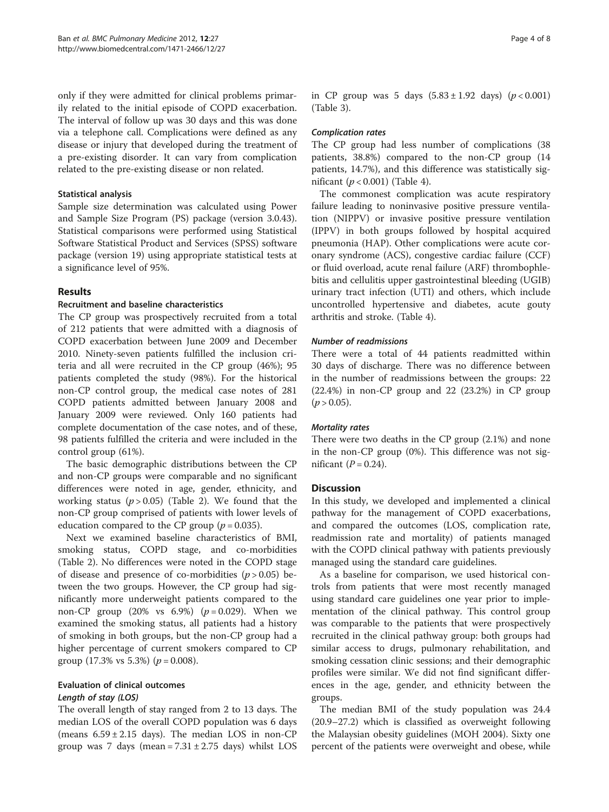only if they were admitted for clinical problems primarily related to the initial episode of COPD exacerbation. The interval of follow up was 30 days and this was done via a telephone call. Complications were defined as any disease or injury that developed during the treatment of a pre-existing disorder. It can vary from complication related to the pre-existing disease or non related.

#### Statistical analysis

Sample size determination was calculated using Power and Sample Size Program (PS) package (version 3.0.43). Statistical comparisons were performed using Statistical Software Statistical Product and Services (SPSS) software package (version 19) using appropriate statistical tests at a significance level of 95%.

# Results

# Recruitment and baseline characteristics

The CP group was prospectively recruited from a total of 212 patients that were admitted with a diagnosis of COPD exacerbation between June 2009 and December 2010. Ninety-seven patients fulfilled the inclusion criteria and all were recruited in the CP group (46%); 95 patients completed the study (98%). For the historical non-CP control group, the medical case notes of 281 COPD patients admitted between January 2008 and January 2009 were reviewed. Only 160 patients had complete documentation of the case notes, and of these, 98 patients fulfilled the criteria and were included in the control group (61%).

The basic demographic distributions between the CP and non-CP groups were comparable and no significant differences were noted in age, gender, ethnicity, and working status  $(p > 0.05)$  (Table [2](#page-4-0)). We found that the non-CP group comprised of patients with lower levels of education compared to the CP group ( $p = 0.035$ ).

Next we examined baseline characteristics of BMI, smoking status, COPD stage, and co-morbidities (Table [2](#page-4-0)). No differences were noted in the COPD stage of disease and presence of co-morbidities  $(p > 0.05)$  between the two groups. However, the CP group had significantly more underweight patients compared to the non-CP group  $(20\% \text{ vs } 6.9\%)$   $(p = 0.029)$ . When we examined the smoking status, all patients had a history of smoking in both groups, but the non-CP group had a higher percentage of current smokers compared to CP group (17.3% vs 5.3%) ( $p = 0.008$ ).

# Evaluation of clinical outcomes Length of stay (LOS)

The overall length of stay ranged from 2 to 13 days. The median LOS of the overall COPD population was 6 days (means  $6.59 \pm 2.15$  days). The median LOS in non-CP group was 7 days (mean =  $7.31 \pm 2.75$  days) whilst LOS

### Complication rates

The CP group had less number of complications (38 patients, 38.8%) compared to the non-CP group (14 patients, 14.7%), and this difference was statistically significant  $(p < 0.001)$  (Table [4](#page-5-0)).

The commonest complication was acute respiratory failure leading to noninvasive positive pressure ventilation (NIPPV) or invasive positive pressure ventilation (IPPV) in both groups followed by hospital acquired pneumonia (HAP). Other complications were acute coronary syndrome (ACS), congestive cardiac failure (CCF) or fluid overload, acute renal failure (ARF) thrombophlebitis and cellulitis upper gastrointestinal bleeding (UGIB) urinary tract infection (UTI) and others, which include uncontrolled hypertensive and diabetes, acute gouty arthritis and stroke. (Table [4](#page-5-0)).

# Number of readmissions

There were a total of 44 patients readmitted within 30 days of discharge. There was no difference between in the number of readmissions between the groups: 22 (22.4%) in non-CP group and 22 (23.2%) in CP group  $(p > 0.05)$ .

# Mortality rates

There were two deaths in the CP group (2.1%) and none in the non-CP group (0%). This difference was not significant  $(P = 0.24)$ .

# **Discussion**

In this study, we developed and implemented a clinical pathway for the management of COPD exacerbations, and compared the outcomes (LOS, complication rate, readmission rate and mortality) of patients managed with the COPD clinical pathway with patients previously managed using the standard care guidelines.

As a baseline for comparison, we used historical controls from patients that were most recently managed using standard care guidelines one year prior to implementation of the clinical pathway. This control group was comparable to the patients that were prospectively recruited in the clinical pathway group: both groups had similar access to drugs, pulmonary rehabilitation, and smoking cessation clinic sessions; and their demographic profiles were similar. We did not find significant differences in the age, gender, and ethnicity between the groups.

The median BMI of the study population was 24.4 (20.9–27.2) which is classified as overweight following the Malaysian obesity guidelines (MOH 2004). Sixty one percent of the patients were overweight and obese, while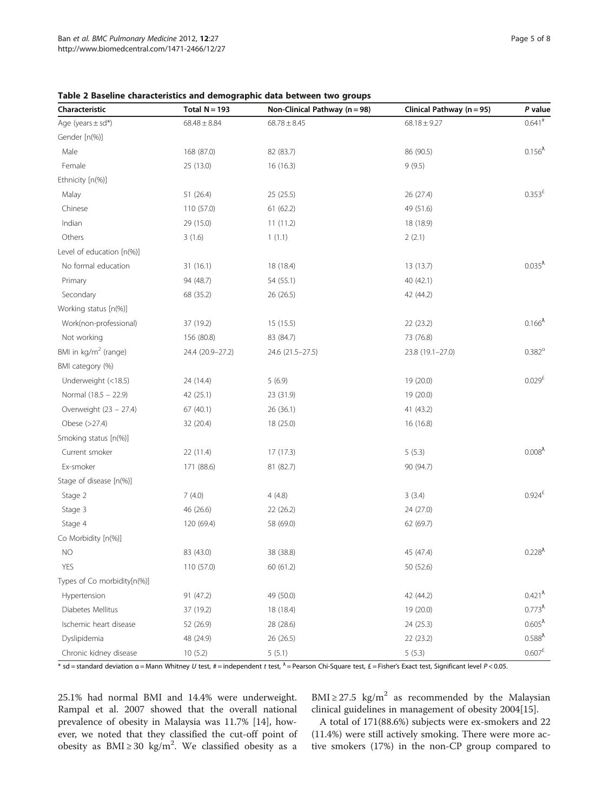| Characteristic                   | Total $N = 193$  | Non-Clinical Pathway (n = 98) | Clinical Pathway (n = 95) | P value                         |
|----------------------------------|------------------|-------------------------------|---------------------------|---------------------------------|
| Age (years $\pm$ sd*)            | $68.48 \pm 8.84$ | $68.78 \pm 8.45$              | $68.18 \pm 9.27$          | $0.641$ <sup>#</sup>            |
| Gender [n(%)]                    |                  |                               |                           |                                 |
| Male                             | 168 (87.0)       | 82 (83.7)                     | 86 (90.5)                 | 0.156 <sup>λ</sup>              |
| Female                           | 25 (13.0)        | 16(16.3)                      | 9(9.5)                    |                                 |
| Ethnicity [n(%)]                 |                  |                               |                           |                                 |
| Malay                            | 51(26.4)         | 25(25.5)                      | 26 (27.4)                 | $0.353^{E}$                     |
| Chinese                          | 110 (57.0)       | 61(62.2)                      | 49 (51.6)                 |                                 |
| Indian                           | 29 (15.0)        | 11(11.2)                      | 18 (18.9)                 |                                 |
| Others                           | 3(1.6)           | 1(1.1)                        | 2(2.1)                    |                                 |
| Level of education [n(%)]        |                  |                               |                           |                                 |
| No formal education              | 31(16.1)         | 18 (18.4)                     | 13 (13.7)                 | 0.035 <sup>λ</sup>              |
| Primary                          | 94 (48.7)        | 54 (55.1)                     | 40 (42.1)                 |                                 |
| Secondary                        | 68 (35.2)        | 26 (26.5)                     | 42 (44.2)                 |                                 |
| Working status [n(%)]            |                  |                               |                           |                                 |
| Work(non-professional)           | 37 (19.2)        | 15(15.5)                      | 22(23.2)                  | $0.166^{\lambda}$               |
| Not working                      | 156 (80.8)       | 83 (84.7)                     | 73 (76.8)                 |                                 |
| BMI in kg/m <sup>2</sup> (range) | 24.4 (20.9-27.2) | 24.6 (21.5-27.5)              | 23.8 (19.1-27.0)          | $0.382^{\alpha}$                |
| BMI category (%)                 |                  |                               |                           |                                 |
| Underweight (<18.5)              | 24 (14.4)        | 5(6.9)                        | 19 (20.0)                 | 0.029 <sup>E</sup>              |
| Normal (18.5 - 22.9)             | 42 (25.1)        | 23 (31.9)                     | 19 (20.0)                 |                                 |
| Overweight (23 - 27.4)           | 67 (40.1)        | 26 (36.1)                     | 41 (43.2)                 |                                 |
| Obese (>27.4)                    | 32 (20.4)        | 18 (25.0)                     | 16 (16.8)                 |                                 |
| Smoking status [n(%)]            |                  |                               |                           |                                 |
| Current smoker                   | 22 (11.4)        | 17(17.3)                      | 5(5.3)                    | 0.008 <sup>λ</sup>              |
| Ex-smoker                        | 171 (88.6)       | 81 (82.7)                     | 90 (94.7)                 |                                 |
| Stage of disease [n(%)]          |                  |                               |                           |                                 |
| Stage 2                          | 7(4.0)           | 4(4.8)                        | 3(3.4)                    | $0.924^{\text{f}}$              |
| Stage 3                          | 46 (26.6)        | 22 (26.2)                     | 24 (27.0)                 |                                 |
| Stage 4                          | 120 (69.4)       | 58 (69.0)                     | 62 (69.7)                 |                                 |
| Co Morbidity [n(%)]              |                  |                               |                           |                                 |
| NO                               | 83 (43.0)        | 38 (38.8)                     | 45 (47.4)                 | $0.228^{A}$                     |
| YES                              | 110 (57.0)       | 60 (61.2)                     | 50 (52.6)                 |                                 |
| Types of Co morbidity[n(%)]      |                  |                               |                           |                                 |
| Hypertension                     | 91 (47.2)        | 49 (50.0)                     | 42 (44.2)                 | $0.421^{A}$                     |
| Diabetes Mellitus                | 37 (19.2)        | 18 (18.4)                     | 19 (20.0)                 | $0.773^{\lambda}$               |
| Ischemic heart disease           | 52 (26.9)        | 28 (28.6)                     | 24 (25.3)                 | $0.605^{\lambda}$               |
| Dyslipidemia                     | 48 (24.9)        | 26 (26.5)                     | 22 (23.2)                 | $0.588^{\lambda}$               |
| Chronic kidney disease           | 10(5.2)          | 5(5.1)                        | 5(5.3)                    | $0.607^{\rm \scriptsize \rm E}$ |

<span id="page-4-0"></span>Table 2 Baseline characteristics and demographic data between two groups

 $*$  sd = standard deviation  $\alpha$  = Mann Whitney U test,  $\#$  = independent t test,  $\Lambda$  = Pearson Chi-Square test,  $\pounds$  = Fisher's Exact test, Significant level P < 0.05.

25.1% had normal BMI and 14.4% were underweight. Rampal et al. 2007 showed that the overall national prevalence of obesity in Malaysia was 11.7% [[14](#page-7-0)], however, we noted that they classified the cut-off point of obesity as  $BMI \ge 30$  kg/m<sup>2</sup>. We classified obesity as a

BMI  $\geq$  27.5 kg/m<sup>2</sup> as recommended by the Malaysian clinical guidelines in management of obesity 2004[\[15\]](#page-7-0).

A total of 171(88.6%) subjects were ex-smokers and 22 (11.4%) were still actively smoking. There were more active smokers (17%) in the non-CP group compared to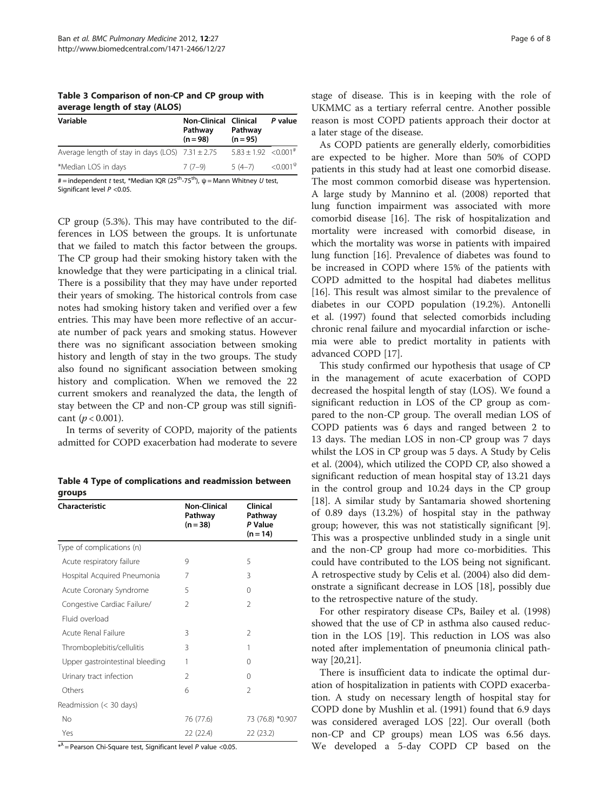<span id="page-5-0"></span>Table 3 Comparison of non-CP and CP group with average length of stay (ALOS)

| Variable                                             | <b>Non-Clinical Clinical</b><br>Pathway<br>$(n = 98)$ | Pathway<br>$(n = 95)$        | P value          |
|------------------------------------------------------|-------------------------------------------------------|------------------------------|------------------|
| Average length of stay in days (LOS) $7.31 \pm 2.75$ |                                                       | $5.83 + 1.92 \le 0.001^{\#}$ |                  |
| *Median LOS in days                                  | $7(7-9)$                                              | $5(4-7)$                     | $< 0.001^{\psi}$ |

 $#$  = independent t test, \*Median IQR (25<sup>th</sup>-75<sup>th</sup>),  $\psi$  = Mann Whitney U test, Significant level  $P < 0.05$ .

CP group (5.3%). This may have contributed to the differences in LOS between the groups. It is unfortunate that we failed to match this factor between the groups. The CP group had their smoking history taken with the knowledge that they were participating in a clinical trial. There is a possibility that they may have under reported their years of smoking. The historical controls from case notes had smoking history taken and verified over a few entries. This may have been more reflective of an accurate number of pack years and smoking status. However there was no significant association between smoking history and length of stay in the two groups. The study also found no significant association between smoking history and complication. When we removed the 22 current smokers and reanalyzed the data, the length of stay between the CP and non-CP group was still significant ( $p < 0.001$ ).

In terms of severity of COPD, majority of the patients admitted for COPD exacerbation had moderate to severe

Table 4 Type of complications and readmission between groups

| Characteristic                  | <b>Non-Clinical</b><br>Pathway<br>$(n = 38)$ | Clinical<br>Pathway<br>P Value<br>$(n = 14)$ |
|---------------------------------|----------------------------------------------|----------------------------------------------|
| Type of complications (n)       |                                              |                                              |
| Acute respiratory failure       | 9                                            | 5                                            |
| Hospital Acquired Pneumonia     | 7                                            | 3                                            |
| Acute Coronary Syndrome         | 5                                            | $\Omega$                                     |
| Congestive Cardiac Failure/     | $\mathfrak{D}$                               | $\mathfrak{D}$                               |
| Fluid overload                  |                                              |                                              |
| Acute Renal Failure             | 3                                            | $\mathcal{P}$                                |
| Thromboplebitis/cellulitis      | 3                                            | 1                                            |
| Upper gastrointestinal bleeding | 1                                            | $\Omega$                                     |
| Urinary tract infection         | $\mathfrak{D}$                               | $\Omega$                                     |
| Others                          | 6                                            | $\mathfrak{D}$                               |
| Readmission (< 30 days)         |                                              |                                              |
| No                              | 76 (77.6)                                    | 73 (76.8) *0.907                             |
| Yes                             | 22 (22.4)                                    | 22 (23.2)                                    |

 $*^{\lambda}$  = Pearson Chi-Square test, Significant level P value <0.05.

stage of disease. This is in keeping with the role of UKMMC as a tertiary referral centre. Another possible reason is most COPD patients approach their doctor at a later stage of the disease.

As COPD patients are generally elderly, comorbidities are expected to be higher. More than 50% of COPD patients in this study had at least one comorbid disease. The most common comorbid disease was hypertension. A large study by Mannino et al. (2008) reported that lung function impairment was associated with more comorbid disease [\[16](#page-7-0)]. The risk of hospitalization and mortality were increased with comorbid disease, in which the mortality was worse in patients with impaired lung function [\[16\]](#page-7-0). Prevalence of diabetes was found to be increased in COPD where 15% of the patients with COPD admitted to the hospital had diabetes mellitus [[16\]](#page-7-0). This result was almost similar to the prevalence of diabetes in our COPD population (19.2%). Antonelli et al. (1997) found that selected comorbids including chronic renal failure and myocardial infarction or ischemia were able to predict mortality in patients with advanced COPD [[17\]](#page-7-0).

This study confirmed our hypothesis that usage of CP in the management of acute exacerbation of COPD decreased the hospital length of stay (LOS). We found a significant reduction in LOS of the CP group as compared to the non-CP group. The overall median LOS of COPD patients was 6 days and ranged between 2 to 13 days. The median LOS in non-CP group was 7 days whilst the LOS in CP group was 5 days. A Study by Celis et al. (2004), which utilized the COPD CP, also showed a significant reduction of mean hospital stay of 13.21 days in the control group and 10.24 days in the CP group [[18\]](#page-7-0). A similar study by Santamaria showed shortening of 0.89 days (13.2%) of hospital stay in the pathway group; however, this was not statistically significant [\[9](#page-7-0)]. This was a prospective unblinded study in a single unit and the non-CP group had more co-morbidities. This could have contributed to the LOS being not significant. A retrospective study by Celis et al. (2004) also did demonstrate a significant decrease in LOS [\[18\]](#page-7-0), possibly due to the retrospective nature of the study.

For other respiratory disease CPs, Bailey et al. (1998) showed that the use of CP in asthma also caused reduction in the LOS [\[19](#page-7-0)]. This reduction in LOS was also noted after implementation of pneumonia clinical pathway [\[20,21](#page-7-0)].

There is insufficient data to indicate the optimal duration of hospitalization in patients with COPD exacerbation. A study on necessary length of hospital stay for COPD done by Mushlin et al. (1991) found that 6.9 days was considered averaged LOS [[22\]](#page-7-0). Our overall (both non-CP and CP groups) mean LOS was 6.56 days. We developed a 5-day COPD CP based on the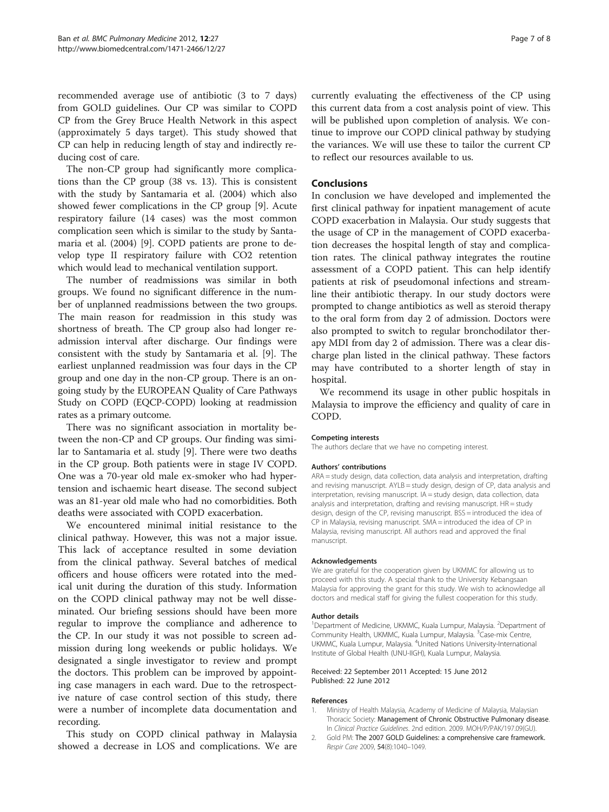<span id="page-6-0"></span>recommended average use of antibiotic (3 to 7 days) from GOLD guidelines. Our CP was similar to COPD CP from the Grey Bruce Health Network in this aspect (approximately 5 days target). This study showed that CP can help in reducing length of stay and indirectly reducing cost of care.

The non-CP group had significantly more complications than the CP group (38 vs. 13). This is consistent with the study by Santamaria et al. (2004) which also showed fewer complications in the CP group [\[9](#page-7-0)]. Acute respiratory failure (14 cases) was the most common complication seen which is similar to the study by Santamaria et al. (2004) [[9\]](#page-7-0). COPD patients are prone to develop type II respiratory failure with CO2 retention which would lead to mechanical ventilation support.

The number of readmissions was similar in both groups. We found no significant difference in the number of unplanned readmissions between the two groups. The main reason for readmission in this study was shortness of breath. The CP group also had longer readmission interval after discharge. Our findings were consistent with the study by Santamaria et al. [[9\]](#page-7-0). The earliest unplanned readmission was four days in the CP group and one day in the non-CP group. There is an ongoing study by the EUROPEAN Quality of Care Pathways Study on COPD (EQCP-COPD) looking at readmission rates as a primary outcome.

There was no significant association in mortality between the non-CP and CP groups. Our finding was similar to Santamaria et al. study [\[9](#page-7-0)]. There were two deaths in the CP group. Both patients were in stage IV COPD. One was a 70-year old male ex-smoker who had hypertension and ischaemic heart disease. The second subject was an 81-year old male who had no comorbidities. Both deaths were associated with COPD exacerbation.

We encountered minimal initial resistance to the clinical pathway. However, this was not a major issue. This lack of acceptance resulted in some deviation from the clinical pathway. Several batches of medical officers and house officers were rotated into the medical unit during the duration of this study. Information on the COPD clinical pathway may not be well disseminated. Our briefing sessions should have been more regular to improve the compliance and adherence to the CP. In our study it was not possible to screen admission during long weekends or public holidays. We designated a single investigator to review and prompt the doctors. This problem can be improved by appointing case managers in each ward. Due to the retrospective nature of case control section of this study, there were a number of incomplete data documentation and recording.

This study on COPD clinical pathway in Malaysia showed a decrease in LOS and complications. We are currently evaluating the effectiveness of the CP using this current data from a cost analysis point of view. This will be published upon completion of analysis. We continue to improve our COPD clinical pathway by studying the variances. We will use these to tailor the current CP to reflect our resources available to us.

### Conclusions

In conclusion we have developed and implemented the first clinical pathway for inpatient management of acute COPD exacerbation in Malaysia. Our study suggests that the usage of CP in the management of COPD exacerbation decreases the hospital length of stay and complication rates. The clinical pathway integrates the routine assessment of a COPD patient. This can help identify patients at risk of pseudomonal infections and streamline their antibiotic therapy. In our study doctors were prompted to change antibiotics as well as steroid therapy to the oral form from day 2 of admission. Doctors were also prompted to switch to regular bronchodilator therapy MDI from day 2 of admission. There was a clear discharge plan listed in the clinical pathway. These factors may have contributed to a shorter length of stay in hospital.

We recommend its usage in other public hospitals in Malaysia to improve the efficiency and quality of care in COPD.

#### Competing interests

The authors declare that we have no competing interest.

#### Authors' contributions

ARA = study design, data collection, data analysis and interpretation, drafting and revising manuscript. AYLB = study design, design of CP, data analysis and interpretation, revising manuscript. IA = study design, data collection, data analysis and interpretation, drafting and revising manuscript. HR = study design, design of the CP, revising manuscript. BSS = introduced the idea of CP in Malaysia, revising manuscript. SMA = introduced the idea of CP in Malaysia, revising manuscript. All authors read and approved the final manuscript.

#### Acknowledgements

We are grateful for the cooperation given by UKMMC for allowing us to proceed with this study. A special thank to the University Kebangsaan Malaysia for approving the grant for this study. We wish to acknowledge all doctors and medical staff for giving the fullest cooperation for this study.

#### Author details

<sup>1</sup>Department of Medicine, UKMMC, Kuala Lumpur, Malaysia. <sup>2</sup>Department of Community Health, UKMMC, Kuala Lumpur, Malaysia. <sup>3</sup>Case-mix Centre UKMMC, Kuala Lumpur, Malaysia. <sup>4</sup>United Nations University-International Institute of Global Health (UNU-IIGH), Kuala Lumpur, Malaysia.

#### Received: 22 September 2011 Accepted: 15 June 2012 Published: 22 June 2012

#### References

- 1. Ministry of Health Malaysia, Academy of Medicine of Malaysia, Malaysian Thoracic Society: Management of Chronic Obstructive Pulmonary disease. In Clinical Practice Guidelines. 2nd edition. 2009. MOH/P/PAK/197.09(GU).
- 2. Gold PM: The 2007 GOLD Guidelines: a comprehensive care framework. Respir Care 2009, 54(8):1040–1049.